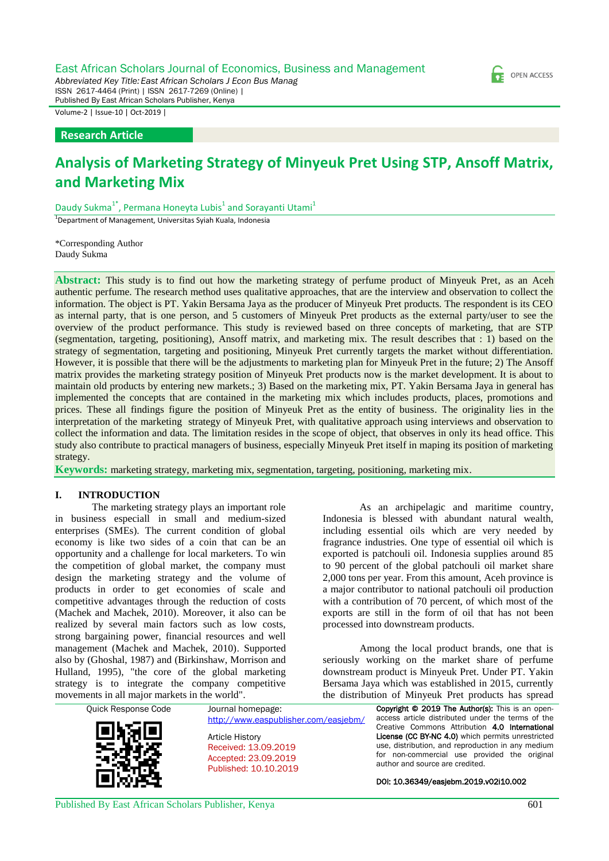*Abbreviated Key Title: East African Scholars J Econ Bus Manag* ISSN 2617-4464 (Print) | ISSN 2617-7269 (Online) | Published By East African Scholars Publisher, Kenya

Volume-2 | Issue-10 | Oct-2019 |

#### **Research Article**

# **Analysis of Marketing Strategy of Minyeuk Pret Using STP, Ansoff Matrix, and Marketing Mix**

Daudy Sukma<sup>1\*</sup>, Permana Honeyta Lubis<sup>1</sup> and Sorayanti Utami<sup>1</sup>

1 Department of Management, Universitas Syiah Kuala, Indonesia

\*Corresponding Author Daudy Sukma

**Abstract:** This study is to find out how the marketing strategy of perfume product of Minyeuk Pret, as an Aceh authentic perfume. The research method uses qualitative approaches, that are the interview and observation to collect the information. The object is PT. Yakin Bersama Jaya as the producer of Minyeuk Pret products. The respondent is its CEO as internal party, that is one person, and 5 customers of Minyeuk Pret products as the external party/user to see the overview of the product performance. This study is reviewed based on three concepts of marketing, that are STP (segmentation, targeting, positioning), Ansoff matrix, and marketing mix. The result describes that : 1) based on the strategy of segmentation, targeting and positioning, Minyeuk Pret currently targets the market without differentiation. However, it is possible that there will be the adjustments to marketing plan for Minyeuk Pret in the future; 2) The Ansoff matrix provides the marketing strategy position of Minyeuk Pret products now is the market development. It is about to maintain old products by entering new markets.; 3) Based on the marketing mix, PT. Yakin Bersama Jaya in general has implemented the concepts that are contained in the marketing mix which includes products, places, promotions and prices. These all findings figure the position of Minyeuk Pret as the entity of business. The originality lies in the interpretation of the marketing strategy of Minyeuk Pret, with qualitative approach using interviews and observation to collect the information and data. The limitation resides in the scope of object, that observes in only its head office. This study also contribute to practical managers of business, especially Minyeuk Pret itself in maping its position of marketing strategy.

**Keywords:** marketing strategy, marketing mix, segmentation, targeting, positioning, marketing mix.

#### **I. INTRODUCTION**

The marketing strategy plays an important role in business especiall in small and medium-sized enterprises (SMEs). The current condition of global economy is like two sides of a coin that can be an opportunity and a challenge for local marketers. To win the competition of global market, the company must design the marketing strategy and the volume of products in order to get economies of scale and competitive advantages through the reduction of costs (Machek and Machek, 2010). Moreover, it also can be realized by several main factors such as low costs, strong bargaining power, financial resources and well management (Machek and Machek, 2010). Supported also by (Ghoshal, 1987) and (Birkinshaw, Morrison and Hulland, 1995), "the core of the global marketing strategy is to integrate the company competitive movements in all major markets in the world".

As an archipelagic and maritime country, Indonesia is blessed with abundant natural wealth, including essential oils which are very needed by fragrance industries. One type of essential oil which is exported is patchouli oil. Indonesia supplies around 85 to 90 percent of the global patchouli oil market share 2,000 tons per year. From this amount, Aceh province is a major contributor to national patchouli oil production with a contribution of 70 percent, of which most of the exports are still in the form of oil that has not been processed into downstream products.

Among the local product brands, one that is seriously working on the market share of perfume downstream product is Minyeuk Pret. Under PT. Yakin Bersama Jaya which was established in 2015, currently the distribution of Minyeuk Pret products has spread

|                                                                                                                                                                                                                                                                                                                                                               | DOI: 10.36349/easiebm.2019.v02i10.002                                                                                                                                                            |
|---------------------------------------------------------------------------------------------------------------------------------------------------------------------------------------------------------------------------------------------------------------------------------------------------------------------------------------------------------------|--------------------------------------------------------------------------------------------------------------------------------------------------------------------------------------------------|
| 回演回<br><b>Article History</b><br>Received: 13.09.2019<br>Accepted: 23.09.2019<br>Published: 10.10.2019                                                                                                                                                                                                                                                        | <b>License (CC BY-NC 4.0)</b> which permits unrestricted<br>use, distribution, and reproduction in any medium<br>for non-commercial use provided the original<br>author and source are credited. |
| <b>Ouick Response Code</b><br>Journal homepage:<br>http://www.easpublisher.com/easjebm/                                                                                                                                                                                                                                                                       | Copyright © 2019 The Author(s): This is an open-<br>access article distributed under the terms of the<br>Creative Commons Attribution 4.0 International                                          |
| $\alpha$ , $\alpha$ , $\alpha$ , $\alpha$ , $\alpha$ , $\alpha$ , $\alpha$ , $\alpha$ , $\alpha$ , $\alpha$ , $\alpha$ , $\alpha$ , $\alpha$ , $\alpha$ , $\alpha$ , $\alpha$ , $\alpha$ , $\alpha$ , $\alpha$ , $\alpha$ , $\alpha$ , $\alpha$ , $\alpha$ , $\alpha$ , $\alpha$ , $\alpha$ , $\alpha$ , $\alpha$ , $\alpha$ , $\alpha$ , $\alpha$ , $\alpha$ | the distribution of <i>while</i> , but if you have the spicial                                                                                                                                   |

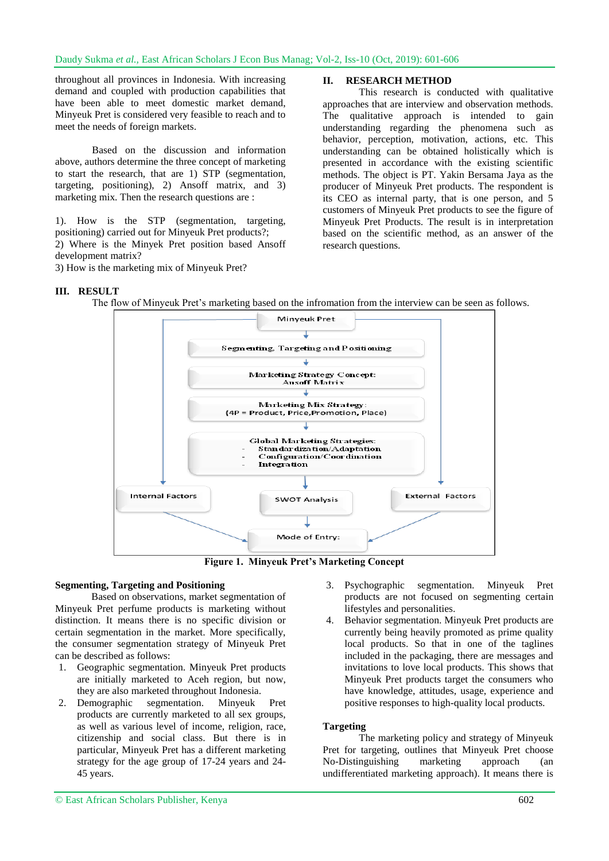throughout all provinces in Indonesia. With increasing demand and coupled with production capabilities that have been able to meet domestic market demand, Minyeuk Pret is considered very feasible to reach and to meet the needs of foreign markets.

Based on the discussion and information above, authors determine the three concept of marketing to start the research, that are 1) STP (segmentation, targeting, positioning), 2) Ansoff matrix, and 3) marketing mix. Then the research questions are :

1). How is the STP (segmentation, targeting, positioning) carried out for Minyeuk Pret products?; 2) Where is the Minyek Pret position based Ansoff development matrix?

3) How is the marketing mix of Minyeuk Pret?

### **II. RESEARCH METHOD**

This research is conducted with qualitative approaches that are interview and observation methods. The qualitative approach is intended to gain understanding regarding the phenomena such as behavior, perception, motivation, actions, etc. This understanding can be obtained holistically which is presented in accordance with the existing scientific methods. The object is PT. Yakin Bersama Jaya as the producer of Minyeuk Pret products. The respondent is its CEO as internal party, that is one person, and 5 customers of Minyeuk Pret products to see the figure of Minyeuk Pret Products. The result is in interpretation based on the scientific method, as an answer of the research questions.

### **III. RESULT**

The flow of Minyeuk Pret's marketing based on the infromation from the interview can be seen as follows.



**Figure 1. Minyeuk Pret's Marketing Concept**

### **Segmenting, Targeting and Positioning**

Based on observations, market segmentation of Minyeuk Pret perfume products is marketing without distinction. It means there is no specific division or certain segmentation in the market. More specifically, the consumer segmentation strategy of Minyeuk Pret can be described as follows:

- 1. Geographic segmentation. Minyeuk Pret products are initially marketed to Aceh region, but now, they are also marketed throughout Indonesia.
- 2. Demographic segmentation. Minyeuk Pret products are currently marketed to all sex groups, as well as various level of income, religion, race, citizenship and social class. But there is in particular, Minyeuk Pret has a different marketing strategy for the age group of 17-24 years and 24- 45 years.
- 3. Psychographic segmentation. Minyeuk Pret products are not focused on segmenting certain lifestyles and personalities.
- 4. Behavior segmentation. Minyeuk Pret products are currently being heavily promoted as prime quality local products. So that in one of the taglines included in the packaging, there are messages and invitations to love local products. This shows that Minyeuk Pret products target the consumers who have knowledge, attitudes, usage, experience and positive responses to high-quality local products.

### **Targeting**

The marketing policy and strategy of Minyeuk Pret for targeting, outlines that Minyeuk Pret choose No-Distinguishing marketing approach (an undifferentiated marketing approach). It means there is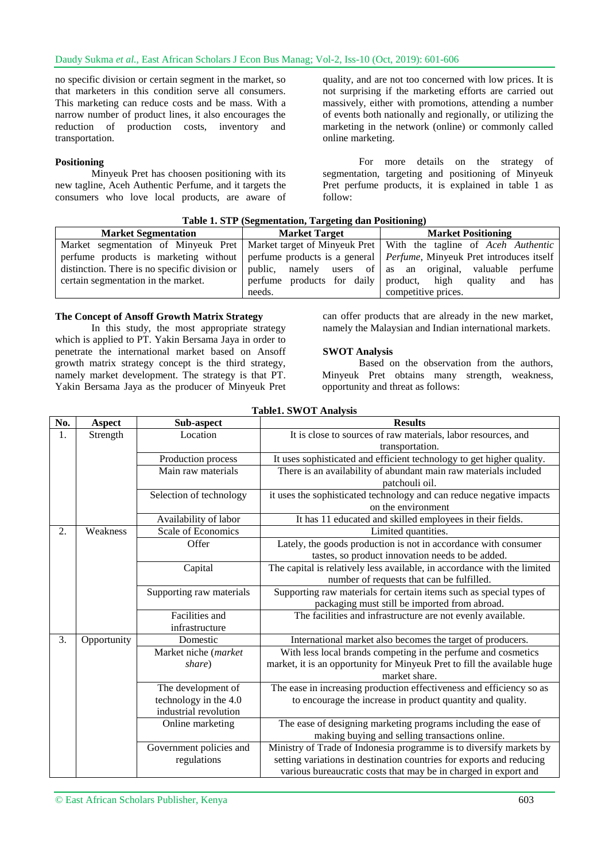no specific division or certain segment in the market, so that marketers in this condition serve all consumers. This marketing can reduce costs and be mass. With a narrow number of product lines, it also encourages the reduction of production costs, inventory and transportation.

# **Positioning**

Minyeuk Pret has choosen positioning with its new tagline, Aceh Authentic Perfume, and it targets the consumers who love local products, are aware of quality, and are not too concerned with low prices. It is not surprising if the marketing efforts are carried out massively, either with promotions, attending a number of events both nationally and regionally, or utilizing the marketing in the network (online) or commonly called online marketing.

For more details on the strategy of segmentation, targeting and positioning of Minyeuk Pret perfume products, it is explained in table 1 as follow:

| Table 1. STP (Segmentation, Targeting dan Positioning)                                                              |                                          |                                                          |  |
|---------------------------------------------------------------------------------------------------------------------|------------------------------------------|----------------------------------------------------------|--|
| <b>Market Segmentation</b>                                                                                          | <b>Market Target</b>                     | <b>Market Positioning</b>                                |  |
| Market segmentation of Minyeuk Pret   Market target of Minyeuk Pret   With the tagline of Aceh Authentic            |                                          |                                                          |  |
| perfume products is marketing without perfume products is a general <i>Perfume</i> , Minyeuk Pret introduces itself |                                          |                                                          |  |
| distinction. There is no specific division or                                                                       |                                          | public, namely users of as an original, valuable perfume |  |
| certain segmentation in the market.                                                                                 | perfume products for daily product, high | quality<br>has<br>and                                    |  |
|                                                                                                                     | needs.                                   | competitive prices.                                      |  |

# **Table 1. STP (Segmentation, Targeting dan Positioning)**

### **The Concept of Ansoff Growth Matrix Strategy**

In this study, the most appropriate strategy which is applied to PT. Yakin Bersama Jaya in order to penetrate the international market based on Ansoff growth matrix strategy concept is the third strategy, namely market development. The strategy is that PT. Yakin Bersama Jaya as the producer of Minyeuk Pret can offer products that are already in the new market, namely the Malaysian and Indian international markets.

### **SWOT Analysis**

Based on the observation from the authors, Minyeuk Pret obtains many strength, weakness, opportunity and threat as follows:

| No. | Aspect      | Sub-aspect               | <b>Results</b>                                                           |
|-----|-------------|--------------------------|--------------------------------------------------------------------------|
| 1.  | Strength    | Location                 | It is close to sources of raw materials, labor resources, and            |
|     |             |                          | transportation.                                                          |
|     |             | Production process       | It uses sophisticated and efficient technology to get higher quality.    |
|     |             | Main raw materials       | There is an availability of abundant main raw materials included         |
|     |             |                          | patchouli oil.                                                           |
|     |             | Selection of technology  | it uses the sophisticated technology and can reduce negative impacts     |
|     |             |                          | on the environment                                                       |
|     |             | Availability of labor    | It has 11 educated and skilled employees in their fields.                |
| 2.  | Weakness    | Scale of Economics       | Limited quantities.                                                      |
|     |             | Offer                    | Lately, the goods production is not in accordance with consumer          |
|     |             |                          | tastes, so product innovation needs to be added.                         |
|     |             | Capital                  | The capital is relatively less available, in accordance with the limited |
|     |             |                          | number of requests that can be fulfilled.                                |
|     |             | Supporting raw materials | Supporting raw materials for certain items such as special types of      |
|     |             |                          | packaging must still be imported from abroad.                            |
|     |             | Facilities and           | The facilities and infrastructure are not evenly available.              |
|     |             | infrastructure           |                                                                          |
| 3.  | Opportunity | Domestic                 | International market also becomes the target of producers.               |
|     |             | Market niche (market     | With less local brands competing in the perfume and cosmetics            |
|     |             | share)                   | market, it is an opportunity for Minyeuk Pret to fill the available huge |
|     |             |                          | market share.                                                            |
|     |             | The development of       | The ease in increasing production effectiveness and efficiency so as     |
|     |             | technology in the 4.0    | to encourage the increase in product quantity and quality.               |
|     |             | industrial revolution    |                                                                          |
|     |             | Online marketing         | The ease of designing marketing programs including the ease of           |
|     |             |                          | making buying and selling transactions online.                           |
|     |             | Government policies and  | Ministry of Trade of Indonesia programme is to diversify markets by      |
|     |             | regulations              | setting variations in destination countries for exports and reducing     |
|     |             |                          | various bureaucratic costs that may be in charged in export and          |

#### **Table1. SWOT Analysis**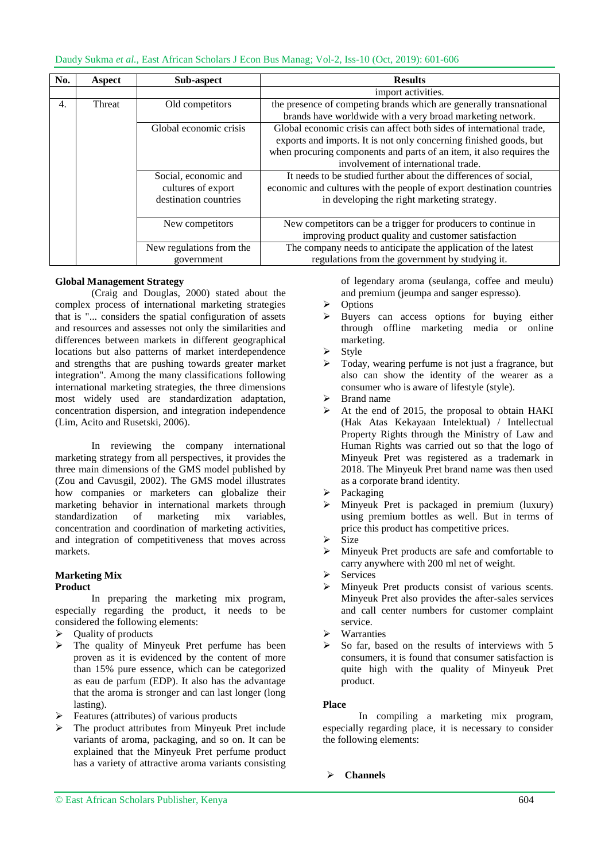| Daudy Sukma et al., East African Scholars J Econ Bus Manag; Vol-2, Iss-10 (Oct, 2019): 601-606 |  |  |  |
|------------------------------------------------------------------------------------------------|--|--|--|
|------------------------------------------------------------------------------------------------|--|--|--|

| No. | <b>Aspect</b> | Sub-aspect               | <b>Results</b>                                                        |
|-----|---------------|--------------------------|-----------------------------------------------------------------------|
|     |               |                          | import activities.                                                    |
| 4.  | Threat        | Old competitors          | the presence of competing brands which are generally transnational    |
|     |               |                          | brands have worldwide with a very broad marketing network.            |
|     |               | Global economic crisis   | Global economic crisis can affect both sides of international trade,  |
|     |               |                          | exports and imports. It is not only concerning finished goods, but    |
|     |               |                          | when procuring components and parts of an item, it also requires the  |
|     |               |                          | involvement of international trade.                                   |
|     |               | Social, economic and     | It needs to be studied further about the differences of social,       |
|     |               | cultures of export       | economic and cultures with the people of export destination countries |
|     |               | destination countries    | in developing the right marketing strategy.                           |
|     |               |                          |                                                                       |
|     |               | New competitors          | New competitors can be a trigger for producers to continue in         |
|     |               |                          | improving product quality and customer satisfaction                   |
|     |               | New regulations from the | The company needs to anticipate the application of the latest         |
|     |               | government               | regulations from the government by studying it.                       |

### **Global Management Strategy**

(Craig and Douglas, 2000) stated about the complex process of international marketing strategies that is "... considers the spatial configuration of assets and resources and assesses not only the similarities and differences between markets in different geographical locations but also patterns of market interdependence and strengths that are pushing towards greater market integration". Among the many classifications following international marketing strategies, the three dimensions most widely used are standardization adaptation, concentration dispersion, and integration independence (Lim, Acito and Rusetski, 2006).

In reviewing the company international marketing strategy from all perspectives, it provides the three main dimensions of the GMS model published by (Zou and Cavusgil, 2002). The GMS model illustrates how companies or marketers can globalize their marketing behavior in international markets through standardization of marketing mix variables, concentration and coordination of marketing activities, and integration of competitiveness that moves across markets.

#### **Marketing Mix Product**

In preparing the marketing mix program, especially regarding the product, it needs to be considered the following elements:

- $\triangleright$  Ouality of products
- $\triangleright$  The quality of Minyeuk Pret perfume has been proven as it is evidenced by the content of more than 15% pure essence, which can be categorized as eau de parfum (EDP). It also has the advantage that the aroma is stronger and can last longer (long lasting).
- Features (attributes) of various products
- The product attributes from Minyeuk Pret include variants of aroma, packaging, and so on. It can be explained that the Minyeuk Pret perfume product has a variety of attractive aroma variants consisting

of legendary aroma (seulanga, coffee and meulu) and premium (jeumpa and sanger espresso).

- $\triangleright$  Options
- $\triangleright$  Buyers can access options for buying either through offline marketing media or online marketing.
- Style

 $\triangleright$  Today, wearing perfume is not just a fragrance, but also can show the identity of the wearer as a consumer who is aware of lifestyle (style).

- Brand name
- At the end of 2015, the proposal to obtain HAKI (Hak Atas Kekayaan Intelektual) / Intellectual Property Rights through the Ministry of Law and Human Rights was carried out so that the logo of Minyeuk Pret was registered as a trademark in 2018. The Minyeuk Pret brand name was then used as a corporate brand identity.
- Packaging
- Minyeuk Pret is packaged in premium (luxury) using premium bottles as well. But in terms of price this product has competitive prices.
- Size
- $\triangleright$  Minyeuk Pret products are safe and comfortable to carry anywhere with 200 ml net of weight.
- $\triangleright$  Services
- Minyeuk Pret products consist of various scents. Minyeuk Pret also provides the after-sales services and call center numbers for customer complaint service.
- **Warranties**
- $\triangleright$  So far, based on the results of interviews with 5 consumers, it is found that consumer satisfaction is quite high with the quality of Minyeuk Pret product.

# **Place**

In compiling a marketing mix program, especially regarding place, it is necessary to consider the following elements:

**Channels**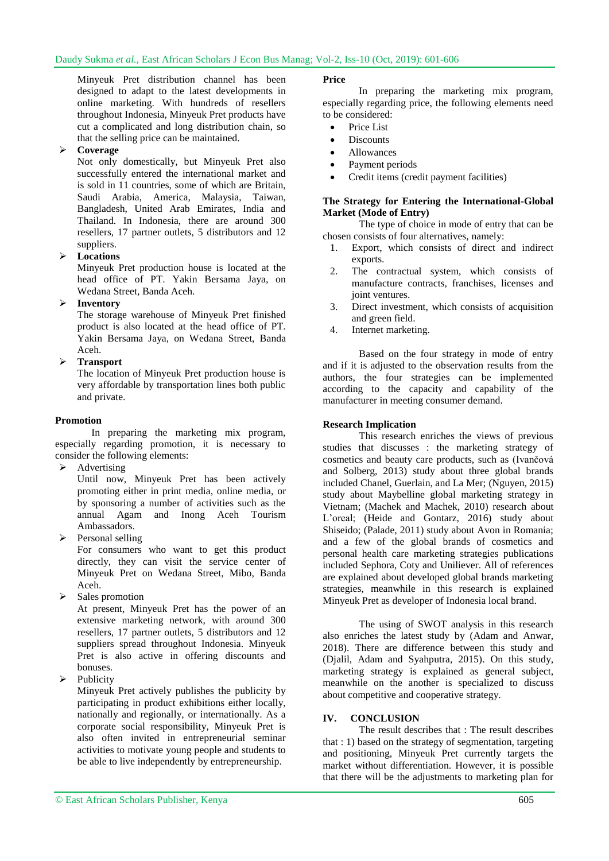Minyeuk Pret distribution channel has been designed to adapt to the latest developments in online marketing. With hundreds of resellers throughout Indonesia, Minyeuk Pret products have cut a complicated and long distribution chain, so that the selling price can be maintained.

# **Coverage**

Not only domestically, but Minyeuk Pret also successfully entered the international market and is sold in 11 countries, some of which are Britain, Saudi Arabia, America, Malaysia, Taiwan, Bangladesh, United Arab Emirates, India and Thailand. In Indonesia, there are around 300 resellers, 17 partner outlets, 5 distributors and 12 suppliers.

# **Locations**

Minyeuk Pret production house is located at the head office of PT. Yakin Bersama Jaya, on Wedana Street, Banda Aceh.

# **Inventory**

The storage warehouse of Minyeuk Pret finished product is also located at the head office of PT. Yakin Bersama Jaya, on Wedana Street, Banda Aceh.

**Transport**

The location of Minyeuk Pret production house is very affordable by transportation lines both public and private.

# **Promotion**

In preparing the marketing mix program, especially regarding promotion, it is necessary to consider the following elements:

 $\triangleright$  Advertising

Until now, Minyeuk Pret has been actively promoting either in print media, online media, or by sponsoring a number of activities such as the annual Agam and Inong Aceh Tourism Ambassadors.

 $\triangleright$  Personal selling

For consumers who want to get this product directly, they can visit the service center of Minyeuk Pret on Wedana Street, Mibo, Banda Aceh.

 $\triangleright$  Sales promotion

At present, Minyeuk Pret has the power of an extensive marketing network, with around 300 resellers, 17 partner outlets, 5 distributors and 12 suppliers spread throughout Indonesia. Minyeuk Pret is also active in offering discounts and bonuses.

 $\triangleright$  Publicity

Minyeuk Pret actively publishes the publicity by participating in product exhibitions either locally, nationally and regionally, or internationally. As a corporate social responsibility, Minyeuk Pret is also often invited in entrepreneurial seminar activities to motivate young people and students to be able to live independently by entrepreneurship.

### **Price**

In preparing the marketing mix program, especially regarding price, the following elements need to be considered:

- Price List
- Discounts
- Allowances
- Payment periods
- Credit items (credit payment facilities)

### **The Strategy for Entering the International-Global Market (Mode of Entry)**

The type of choice in mode of entry that can be chosen consists of four alternatives, namely:

- 1. Export, which consists of direct and indirect exports.
- 2. The contractual system, which consists of manufacture contracts, franchises, licenses and joint ventures.
- 3. Direct investment, which consists of acquisition and green field.
- 4. Internet marketing.

Based on the four strategy in mode of entry and if it is adjusted to the observation results from the authors, the four strategies can be implemented according to the capacity and capability of the manufacturer in meeting consumer demand.

# **Research Implication**

This research enriches the views of previous studies that discusses : the marketing strategy of cosmetics and beauty care products, such as (Ivančová and Solberg, 2013) study about three global brands included Chanel, Guerlain, and La Mer; (Nguyen, 2015) study about Maybelline global marketing strategy in Vietnam; (Machek and Machek, 2010) research about L'oreal; (Heide and Gontarz, 2016) study about Shiseido; (Palade, 2011) study about Avon in Romania; and a few of the global brands of cosmetics and personal health care marketing strategies publications included Sephora, Coty and Uniliever. All of references are explained about developed global brands marketing strategies, meanwhile in this research is explained Minyeuk Pret as developer of Indonesia local brand.

The using of SWOT analysis in this research also enriches the latest study by (Adam and Anwar, 2018). There are difference between this study and (Djalil, Adam and Syahputra, 2015). On this study, marketing strategy is explained as general subject, meanwhile on the another is specialized to discuss about competitive and cooperative strategy.

# **IV. CONCLUSION**

The result describes that : The result describes that : 1) based on the strategy of segmentation, targeting and positioning, Minyeuk Pret currently targets the market without differentiation. However, it is possible that there will be the adjustments to marketing plan for